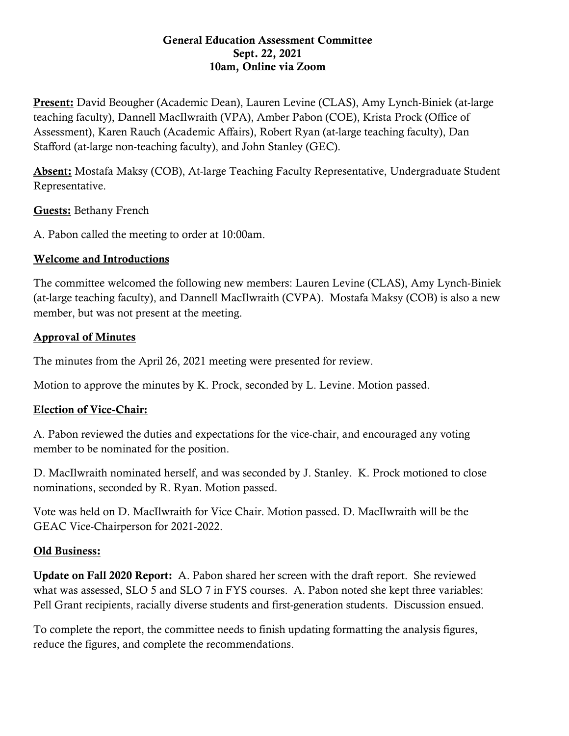#### General Education Assessment Committee Sept. 22, 2021 10am, Online via Zoom

Present: David Beougher (Academic Dean), Lauren Levine (CLAS), Amy Lynch-Biniek (at-large teaching faculty), Dannell MacIlwraith (VPA), Amber Pabon (COE), Krista Prock (Office of Assessment), Karen Rauch (Academic Affairs), Robert Ryan (at-large teaching faculty), Dan Stafford (at-large non-teaching faculty), and John Stanley (GEC).

Absent: Mostafa Maksy (COB), At-large Teaching Faculty Representative, Undergraduate Student Representative.

#### Guests: Bethany French

A. Pabon called the meeting to order at 10:00am.

### Welcome and Introductions

The committee welcomed the following new members: Lauren Levine (CLAS), Amy Lynch-Biniek (at-large teaching faculty), and Dannell MacIlwraith (CVPA). Mostafa Maksy (COB) is also a new member, but was not present at the meeting.

### Approval of Minutes

The minutes from the April 26, 2021 meeting were presented for review.

Motion to approve the minutes by K. Prock, seconded by L. Levine. Motion passed.

# Election of Vice-Chair:

A. Pabon reviewed the duties and expectations for the vice-chair, and encouraged any voting member to be nominated for the position.

D. MacIlwraith nominated herself, and was seconded by J. Stanley. K. Prock motioned to close nominations, seconded by R. Ryan. Motion passed.

Vote was held on D. MacIlwraith for Vice Chair. Motion passed. D. MacIlwraith will be the GEAC Vice-Chairperson for 2021-2022.

# Old Business:

Update on Fall 2020 Report: A. Pabon shared her screen with the draft report. She reviewed what was assessed, SLO 5 and SLO 7 in FYS courses. A. Pabon noted she kept three variables: Pell Grant recipients, racially diverse students and first-generation students. Discussion ensued.

To complete the report, the committee needs to finish updating formatting the analysis figures, reduce the figures, and complete the recommendations.